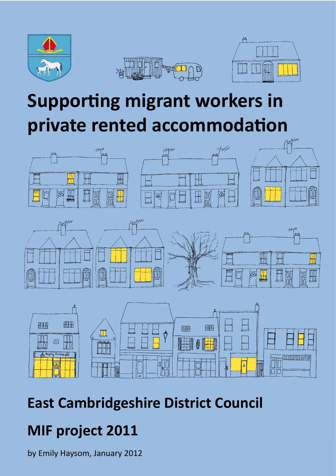

# **Supporting migrant workers in private rented accommodation**







# **East Cambridgeshire District Council**

# **MIF project 2011**

by Emily Haysom, January 2012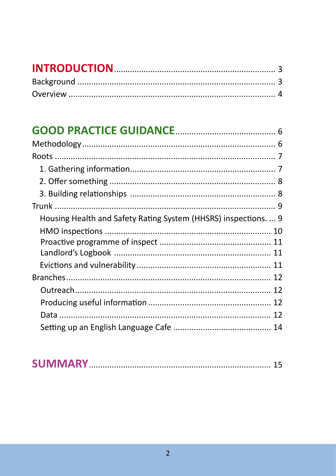| Housing Health and Safety Rating System (HHSRS) inspections.  9 |  |
|-----------------------------------------------------------------|--|
|                                                                 |  |
|                                                                 |  |
|                                                                 |  |
|                                                                 |  |
|                                                                 |  |
|                                                                 |  |
|                                                                 |  |
|                                                                 |  |
|                                                                 |  |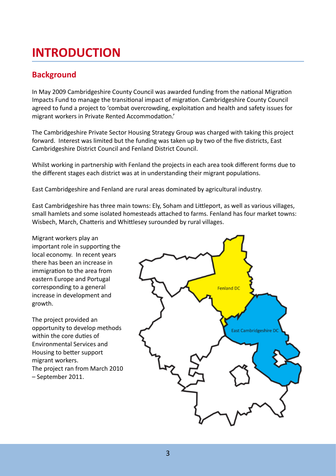## **INTRODUCTION**

#### **Background**

In May 2009 Cambridgeshire County Council was awarded funding from the national Migration Impacts Fund to manage the transitional impact of migration. Cambridgeshire County Council agreed to fund a project to 'combat overcrowding, exploitation and health and safety issues for migrant workers in Private Rented Accommodation.'

The Cambridgeshire Private Sector Housing Strategy Group was charged with taking this project forward. Interest was limited but the funding was taken up by two of the five districts, East Cambridgeshire District Council and Fenland District Council.

Whilst working in partnership with Fenland the projects in each area took different forms due to the different stages each district was at in understanding their migrant populations.

East Cambridgeshire and Fenland are rural areas dominated by agricultural industry.

East Cambridgeshire has three main towns: Ely, Soham and Littleport, as well as various villages, small hamlets and some isolated homesteads attached to farms. Fenland has four market towns: Wisbech, March, Chatteris and Whittlesey surounded by rural villages.

Migrant workers play an important role in supporting the local economy. In recent years there has been an increase in immigration to the area from eastern Europe and Portugal corresponding to a general increase in development and growth.

The project provided an opportunity to develop methods within the core duties of Environmental Services and Housing to better support migrant workers. The project ran from March 2010 – September 2011.

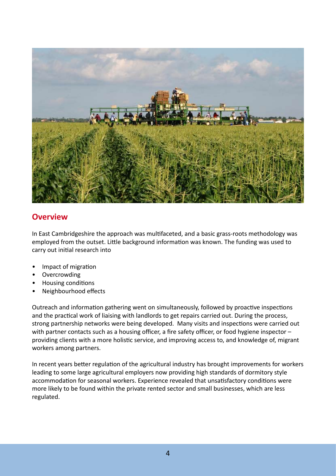

#### **Overview**

In East Cambridgeshire the approach was multifaceted, and a basic grass-roots methodology was employed from the outset. Little background information was known. The funding was used to carry out initial research into

- Impact of migration •
- Overcrowding •
- Housing conditions •
- Neighbourhood effects •

Outreach and information gathering went on simultaneously, followed by proactive inspections and the practical work of liaising with landlords to get repairs carried out. During the process, strong partnership networks were being developed. Many visits and inspections were carried out with partner contacts such as a housing officer, a fire safety officer, or food hygiene inspector providing clients with a more holistic service, and improving access to, and knowledge of, migrant workers among partners.

In recent years better regulation of the agricultural industry has brought improvements for workers leading to some large agricultural employers now providing high standards of dormitory style accommodation for seasonal workers. Experience revealed that unsatisfactory conditions were more likely to be found within the private rented sector and small businesses, which are less regulated.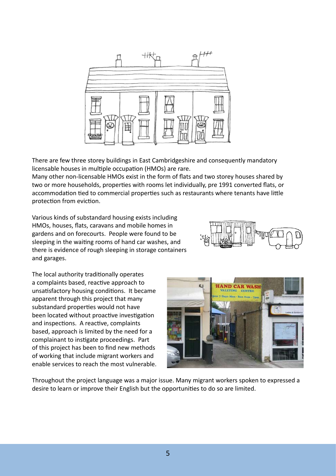

There are few three storey buildings in East Cambridgeshire and consequently mandatory licensable houses in multiple occupation (HMOs) are rare.

Many other non-licensable HMOs exist in the form of flats and two storey houses shared by two or more households, properties with rooms let individually, pre 1991 converted flats, or accommodation tied to commercial properties such as restaurants where tenants have little protection from eviction.

Various kinds of substandard housing exists including HMOs, houses, flats, caravans and mobile homes in gardens and on forecourts. People were found to be sleeping in the waiting rooms of hand car washes, and there is evidence of rough sleeping in storage containers and garages.

The local authority traditionally operates a complaints based, reactive approach to unsatisfactory housing conditions. It became apparent through this project that many substandard properties would not have been located without proactive investigation and inspections. A reactive, complaints based, approach is limited by the need for a complainant to instigate proceedings. Part of this project has been to find new methods of working that include migrant workers and enable services to reach the most vulnerable.





Throughout the project language was a major issue. Many migrant workers spoken to expressed a desire to learn or improve their English but the opportunities to do so are limited.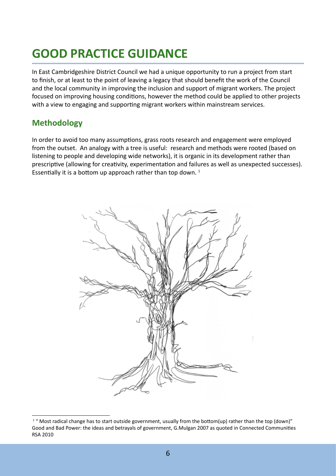## **GOOD PRACTICE GUIDANCE**

In East Cambridgeshire District Council we had a unique opportunity to run a project from start to finish, or at least to the point of leaving a legacy that should benefit the work of the Council and the local community in improving the inclusion and support of migrant workers. The project focused on improving housing conditions, however the method could be applied to other projects with a view to engaging and supporting migrant workers within mainstream services.

#### **Methodology**

In order to avoid too many assumptions, grass roots research and engagement were employed from the outset. An analogy with a tree is useful: research and methods were rooted (based on listening to people and developing wide networks), it is organic in its development rather than prescriptive (allowing for creativity, experimentation and failures as well as unexpected successes). Essentially it is a bottom up approach rather than top down.  $1$ 



<sup>&</sup>lt;sup>1</sup> " Most radical change has to start outside government, usually from the bottom(up) rather than the top (down)" Good and Bad Power: the ideas and betrayals of government, G.Mulgan 2007 as quoted in Connected Communities RSA 2010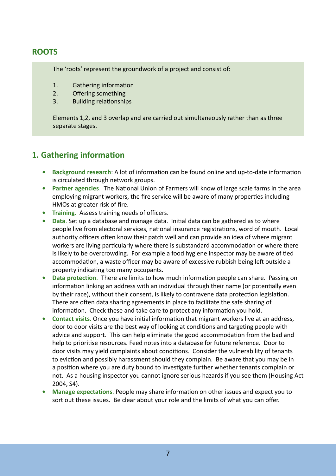#### **ROOTS**

The 'roots' represent the groundwork of a project and consist of:

- 1. Gathering information
- 2. Offering something
- 3. Building relationships

Elements 1,2, and 3 overlap and are carried out simultaneously rather than as three separate stages.

#### **1. Gathering information**

- **Background research**: A lot of information can be found online and up-to-date information is circulated through network groups. **•**
- **Partner agencies**. The National Union of Farmers will know of large scale farms in the area employing migrant workers, the fire service will be aware of many properties including HMOs at greater risk of fire. **•**
- **Training**. Assess training needs of officers.
- **Data**. Set up a database and manage data. Initial data can be gathered as to where people live from electoral services, national insurance registrations, word of mouth. Local authority officers often know their patch well and can provide an idea of where migrant workers are living particularly where there is substandard accommodation or where there is likely to be overcrowding. For example a food hygiene inspector may be aware of tied accommodation, a waste officer may be aware of excessive rubbish being left outside a property indicating too many occupants. **•**
- **Data protection**. There are limits to how much information people can share. Passing on information linking an address with an individual through their name (or potentially even by their race), without their consent, is likely to contravene data protection legislation. There are often data sharing agreements in place to facilitate the safe sharing of information. Check these and take care to protect any information you hold. **•**
- **Contact visits**. Once you have initial information that migrant workers live at an address, door to door visits are the best way of looking at conditions and targeting people with advice and support. This can help eliminate the good accommodation from the bad and help to prioritise resources. Feed notes into a database for future reference. Door to door visits may yield complaints about conditions. Consider the vulnerability of tenants to eviction and possibly harassment should they complain. Be aware that you may be in a position where you are duty bound to investigate further whether tenants complain or not. As a housing inspector you cannot ignore serious hazards if you see them (Housing Act 2004, S4). **•**
- **Manage expectations**. People may share information on other issues and expect you to sort out these issues. Be clear about your role and the limits of what you can offer. **•**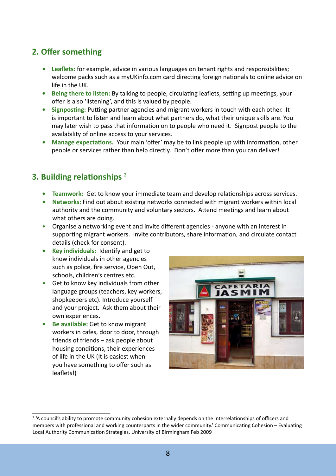### **2. Offer something**

- **Leaflets:** for example, advice in various languages on tenant rights and responsibilities; **•** welcome packs such as a myUKinfo.com card directing foreign nationals to online advice on life in the UK.
- **Being there to listen:** By talking to people, circulating leaflets, setting up meetings, your **•** offer is also 'listening', and this is valued by people.
- **Signposting:** Putting partner agencies and migrant workers in touch with each other. It **•** is important to listen and learn about what partners do, what their unique skills are. You may later wish to pass that information on to people who need it. Signpost people to the availability of online access to your services.
- **Manage expectations.** Your main 'offer' may be to link people up with information, other people or services rather than help directly. Don't offer more than you can deliver! **•**

#### **3. Building relationships** <sup>2</sup>

- **Teamwork:** Get to know your immediate team and develop relationships across services.
- **Networks:** Find out about existing networks connected with migrant workers within local authority and the community and voluntary sectors. Attend meetings and learn about what others are doing. **•**
- Organise a networking event and invite different agencies anyone with an interest in supporting migrant workers. Invite contributors, share information, and circulate contact details (check for consent). •
- **Key individuals:** Identify and get to **•** know individuals in other agencies such as police, fire service, Open Out, schools, children's centres etc.
- Get to know key individuals from other language groups (teachers, key workers, shopkeepers etc). Introduce yourself and your project. Ask them about their own experiences. •
- **Be available:** Get to know migrant workers in cafes, door to door, through friends of friends – ask people about housing conditions, their experiences of life in the UK (It is easiest when you have something to offer such as leaflets!) **•**



<sup>&</sup>lt;sup>2</sup> 'A council's ability to promote community cohesion externally depends on the interrelationships of officers and members with professional and working counterparts in the wider community.' Communicating Cohesion – Evaluating Local Authority Communication Strategies, University of Birmingham Feb 2009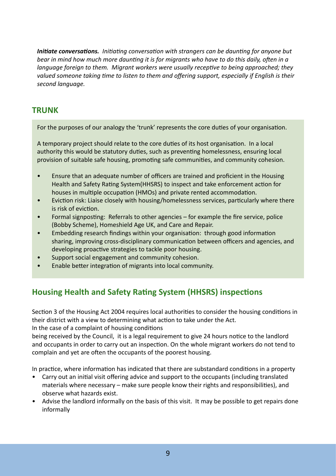*Initiate conversations. Initiating conversation with strangers can be daunting for anyone but bear in mind how much more daunting it is for migrants who have to do this daily, often in a language foreign to them. Migrant workers were usually receptive to being approached; they valued someone taking time to listen to them and offering support, especially if English is their second language.*

#### **TRUNK**

For the purposes of our analogy the 'trunk' represents the core duties of your organisation.

A temporary project should relate to the core duties of its host organisation. In a local authority this would be statutory duties, such as preventing homelessness, ensuring local provision of suitable safe housing, promoting safe communities, and community cohesion.

- Ensure that an adequate number of officers are trained and proficient in the Housing Health and Safety Rating System(HHSRS) to inspect and take enforcement action for houses in multiple occupation (HMOs) and private rented accommodation. •
- Eviction risk: Liaise closely with housing/homelessness services, particularly where there is risk of eviction. •
- Formal signposting: Referrals to other agencies for example the fire service, police (Bobby Scheme), Homeshield Age UK, and Care and Repair. •
- Embedding research findings within your organisation: through good information sharing, improving cross-disciplinary communication between officers and agencies, and developing proactive strategies to tackle poor housing. •
- Support social engagement and community cohesion. •
- Enable better integration of migrants into local community. •

## **Housing Health and Safety Rating System (HHSRS) inspections**

Section 3 of the Housing Act 2004 requires local authorities to consider the housing conditions in their district with a view to determining what action to take under the Act.

In the case of a complaint of housing conditions

being received by the Council, it is a legal requirement to give 24 hours notice to the landlord and occupants in order to carry out an inspection. On the whole migrant workers do not tend to complain and yet are often the occupants of the poorest housing.

In practice, where information has indicated that there are substandard conditions in a property

- Carry out an initial visit offering advice and support to the occupants (including translated materials where necessary – make sure people know their rights and responsibilities), and observe what hazards exist.
- Advise the landlord informally on the basis of this visit. It may be possible to get repairs done informally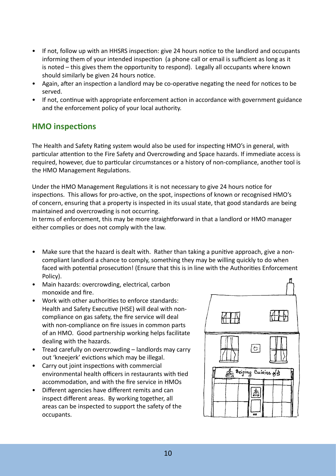- If not, follow up with an HHSRS inspection: give 24 hours notice to the landlord and occupants informing them of your intended inspection (a phone call or email is sufficient as long as it is noted – this gives them the opportunity to respond). Legally all occupants where known should similarly be given 24 hours notice.
- Again, after an inspection a landlord may be co-operative negating the need for notices to be served.
- If not, continue with appropriate enforcement action in accordance with government guidance and the enforcement policy of your local authority.

#### **HMO inspections**

The Health and Safety Rating system would also be used for inspecting HMO's in general, with particular attention to the Fire Safety and Overcrowding and Space hazards. If immediate access is required, however, due to particular circumstances or a history of non-compliance, another tool is the HMO Management Regulations.

Under the HMO Management Regulations it is not necessary to give 24 hours notice for inspections. This allows for pro-active, on the spot, inspections of known or recognised HMO's of concern, ensuring that a property is inspected in its usual state, that good standards are being maintained and overcrowding is not occurring.

In terms of enforcement, this may be more straightforward in that a landlord or HMO manager either complies or does not comply with the law.

- Make sure that the hazard is dealt with. Rather than taking a punitive approach, give a noncompliant landlord a chance to comply, something they may be willing quickly to do when faced with potential prosecution! (Ensure that this is in line with the Authorities Enforcement Policy).
- Main hazards: overcrowding, electrical, carbon monoxide and fire.
- Work with other authorities to enforce standards: Health and Safety Executive (HSE) will deal with noncompliance on gas safety, the fire service will deal with non-compliance on fire issues in common parts of an HMO. Good partnership working helps facilitate dealing with the hazards.
- Tread carefully on overcrowding landlords may carry out 'kneejerk' evictions which may be illegal.
- Carry out joint inspections with commercial environmental health officers in restaurants with tied accommodation, and with the fire service in HMOs
- Different agencies have different remits and can inspect different areas. By working together, all areas can be inspected to support the safety of the occupants.

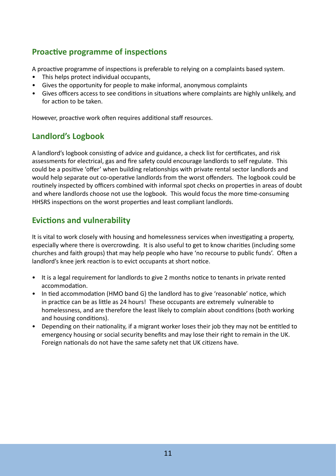#### **Proactive programme of inspections**

A proactive programme of inspections is preferable to relying on a complaints based system.

- This helps protect individual occupants, •
- Gives the opportunity for people to make informal, anonymous complaints •
- Gives officers access to see conditions in situations where complaints are highly unlikely, and for action to be taken.

However, proactive work often requires additional staff resources.

## **Landlord's Logbook**

A landlord's logbook consisting of advice and guidance, a check list for certificates, and risk assessments for electrical, gas and fire safety could encourage landlords to self regulate. This could be a positive 'offer' when building relationships with private rental sector landlords and would help separate out co-operative landlords from the worst offenders. The logbook could be routinely inspected by officers combined with informal spot checks on properties in areas of doubt and where landlords choose not use the logbook. This would focus the more time-consuming HHSRS inspections on the worst properties and least compliant landlords.

### **Evictions and vulnerability**

It is vital to work closely with housing and homelessness services when investigating a property, especially where there is overcrowding. It is also useful to get to know charities (including some churches and faith groups) that may help people who have 'no recourse to public funds'. Often a landlord's knee jerk reaction is to evict occupants at short notice.

- It is a legal requirement for landlords to give 2 months notice to tenants in private rented accommodation.
- In tied accommodation (HMO band G) the landlord has to give 'reasonable' notice, which in practice can be as little as 24 hours! These occupants are extremely vulnerable to homelessness, and are therefore the least likely to complain about conditions (both working and housing conditions).
- Depending on their nationality, if a migrant worker loses their job they may not be entitled to emergency housing or social security benefits and may lose their right to remain in the UK. Foreign nationals do not have the same safety net that UK citizens have.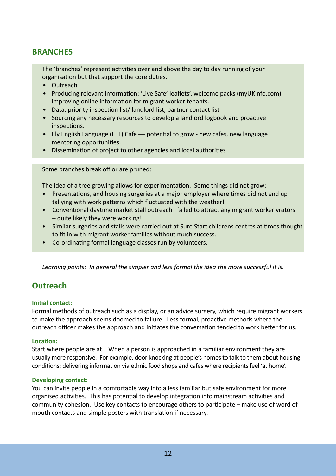#### **BRANCHES**

The 'branches' represent activities over and above the day to day running of your organisation but that support the core duties.

- Outreach
- Producing relevant information: 'Live Safe' leaflets', welcome packs (myUKinfo.com), improving online information for migrant worker tenants.
- Data: priority inspection list/ landlord list, partner contact list
- Sourcing any necessary resources to develop a landlord logbook and proactive inspections.
- Ely English Language (EEL) Cafe potential to grow new cafes, new language mentoring opportunities.
- Dissemination of project to other agencies and local authorities

Some branches break off or are pruned:

The idea of a tree growing allows for experimentation. Some things did not grow:

- Presentations, and housing surgeries at a major employer where times did not end up tallying with work patterns which fluctuated with the weather! •
- Conventional daytime market stall outreach –failed to attract any migrant worker visitors – quite likely they were working! •
- Similar surgeries and stalls were carried out at Sure Start childrens centres at times thought to fit in with migrant worker families without much success.
- Co-ordinating formal language classes run by volunteers. •

*Learning points: In general the simpler and less formal the idea the more successful it is.* 

#### **Outreach**

#### **Initial contact**:

Formal methods of outreach such as a display, or an advice surgery, which require migrant workers to make the approach seems doomed to failure. Less formal, proactive methods where the outreach officer makes the approach and initiates the conversation tended to work better for us.

#### **Location:**

Start where people are at. When a person is approached in a familiar environment they are usually more responsive. For example, door knocking at people's homes to talk to them about housing conditions; delivering information via ethnic food shops and cafes where recipients feel 'at home'.

#### **Developing contact:**

You can invite people in a comfortable way into a less familiar but safe environment for more organised activities. This has potential to develop integration into mainstream activities and community cohesion. Use key contacts to encourage others to participate – make use of word of mouth contacts and simple posters with translation if necessary.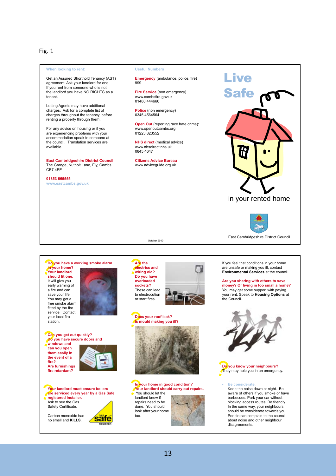Fig. 1

#### **When looking to rent:**

Get an Assured Shorthold Tenancy (AST) agreement. Ask your landlord for one. If you rent from someone who is not the landlord you have NO RIGHTS as a tenant.

Letting Agents may have additional charges. Ask for a complete list of charges throughout the tenancy, before renting a property through them.

For any advice on housing or if you are experiencing problems with your accommodation speak to someone at the council. Translation services are available.

**East Cambridgeshire District Council** The Grange, Nutholt Lane, Ely, Cambs CB7 4EE

**01353 665555**

**www.eastcambs.gov.uk** 

#### **Useful Numbers**

**Emergency** (ambulance, police, fire) 999

**Fire Service** (non emergency) www.cambsfire.gov.uk 01480 444666

**Police** (non emergency)<br>0345 4564564

**Open Out** (reporting race hate crime): www.openoutcambs.org 01223 823552

**NHS direct** (medical advice) www.nhsdirect.nhs.uk 0845 4647

**Citizens Advice Bureau**  www.adviceguide.org.uk

October 2010



East Cambridgeshire District Council

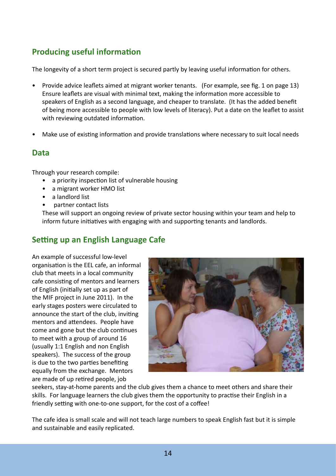### **Producing useful information**

The longevity of a short term project is secured partly by leaving useful information for others.

- Provide advice leaflets aimed at migrant worker tenants. (For example, see fig. 1 on page 13) Ensure leaflets are visual with minimal text, making the information more accessible to speakers of English as a second language, and cheaper to translate. (It has the added benefit of being more accessible to people with low levels of literacy). Put a date on the leaflet to assist with reviewing outdated information.
- Make use of existing information and provide translations where necessary to suit local needs •

#### **Data**

Through your research compile:

- a priority inspection list of vulnerable housing
- a migrant worker HMO list
- a landlord list
- partner contact lists •

These will support an ongoing review of private sector housing within your team and help to inform future initiatives with engaging with and supporting tenants and landlords.

#### **Setting up an English Language Cafe**

An example of successful low-level organisation is the EEL cafe, an informal club that meets in a local community cafe consisting of mentors and learners of English (initially set up as part of the MIF project in June 2011). In the early stages posters were circulated to announce the start of the club, inviting mentors and attendees. People have come and gone but the club continues to meet with a group of around 16 (usually 1:1 English and non English speakers). The success of the group is due to the two parties benefiting equally from the exchange. Mentors are made of up retired people, job



seekers, stay-at-home parents and the club gives them a chance to meet others and share their skills. For language learners the club gives them the opportunity to practise their English in a friendly setting with one-to-one support, for the cost of a coffee!

The cafe idea is small scale and will not teach large numbers to speak English fast but it is simple and sustainable and easily replicated.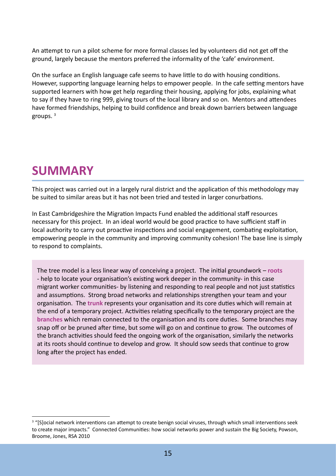An attempt to run a pilot scheme for more formal classes led by volunteers did not get off the ground, largely because the mentors preferred the informality of the 'cafe' environment.

On the surface an English language cafe seems to have little to do with housing conditions. However, supporting language learning helps to empower people. In the cafe setting mentors have supported learners with how get help regarding their housing, applying for jobs, explaining what to say if they have to ring 999, giving tours of the local library and so on. Mentors and attendees have formed friendships, helping to build confidence and break down barriers between language groups. <sup>3</sup>

## **SUMMARY**

This project was carried out in a largely rural district and the application of this methodology may be suited to similar areas but it has not been tried and tested in larger conurbations.

In East Cambridgeshire the Migration Impacts Fund enabled the additional staff resources necessary for this project. In an ideal world would be good practice to have sufficient staff in local authority to carry out proactive inspections and social engagement, combating exploitation, empowering people in the community and improving community cohesion! The base line is simply to respond to complaints.

The tree model is a less linear way of conceiving a project. The initial groundwork – **roots** - help to locate your organisation's existing work deeper in the community- in this case migrant worker communities- by listening and responding to real people and not just statistics and assumptions. Strong broad networks and relationships strengthen your team and your organisation. The **trunk** represents your organisation and its core duties which will remain at the end of a temporary project. Activities relating specifically to the temporary project are the **branches** which remain connected to the organisation and its core duties. Some branches may snap off or be pruned after time, but some will go on and continue to grow. The outcomes of the branch activities should feed the ongoing work of the organisation, similarly the networks at its roots should continue to develop and grow. It should sow seeds that continue to grow long after the project has ended.

<sup>&</sup>lt;sup>3</sup> "[S]ocial network interventions can attempt to create benign social viruses, through which small interventions seek to create major impacts." Connected Communities: how social networks power and sustain the Big Society, Powson, Broome, Jones, RSA 2010